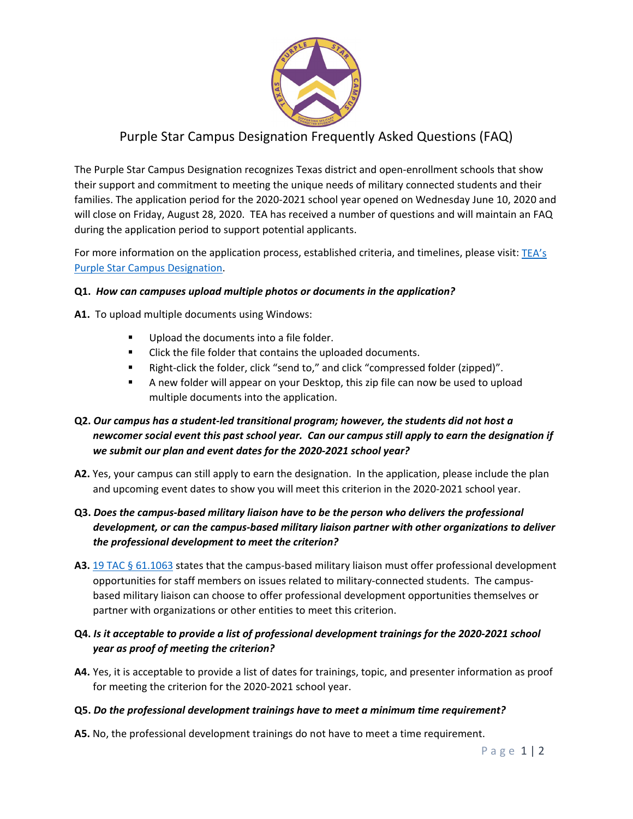

# Purple Star Campus Designation Frequently Asked Questions (FAQ)

The Purple Star Campus Designation recognizes Texas district and open-enrollment schools that show their support and commitment to meeting the unique needs of military connected students and their families. The application period for the 2020-2021 school year opened on Wednesday June 10, 2020 and will close on Friday, August 28, 2020. TEA has received a number of questions and will maintain an FAQ during the application period to support potential applicants.

For more information on the application process, established criteria, and timelines, please visit:  $TEA's$ [Purple Star Campus Designation.](https://tea.texas.gov/about-tea/other-services/military-families/purple-star-campus-designation)

### **Q1.** *How can campuses upload multiple photos or documents in the application?*

**A1.** To upload multiple documents using Windows:

- Upload the documents into a file folder.
- **EXECLICE CONTEGRATE:** Click the file folder that contains the uploaded documents.
- Right-click the folder, click "send to," and click "compressed folder (zipped)".
- A new folder will appear on your Desktop, this zip file can now be used to upload multiple documents into the application.

# **Q2.** *Our campus has a student-led transitional program; however, the students did not host a newcomer social event this past school year. Can our campus still apply to earn the designation if we submit our plan and event dates for the 2020-2021 school year?*

- **A2.** Yes, your campus can still apply to earn the designation. In the application, please include the plan and upcoming event dates to show you will meet this criterion in the 2020-2021 school year.
- **Q3.** *Does the campus-based military liaison have to be the person who delivers the professional development, or can the campus-based military liaison partner with other organizations to deliver the professional development to meet the criterion?*
- A3. [19 TAC §](http://ritter.tea.state.tx.us/rules/tac/chapter061/ch61ff.html) 61.1063 states that the campus-based military liaison must offer professional development opportunities for staff members on issues related to military-connected students. The campusbased military liaison can choose to offer professional development opportunities themselves or partner with organizations or other entities to meet this criterion.

# **Q4.** *Is it acceptable to provide a list of professional development trainings for the 2020-2021 school year as proof of meeting the criterion?*

**A4.** Yes, it is acceptable to provide a list of dates for trainings, topic, and presenter information as proof for meeting the criterion for the 2020-2021 school year.

### **Q5.** *Do the professional development trainings have to meet a minimum time requirement?*

**A5.** No, the professional development trainings do not have to meet a time requirement.